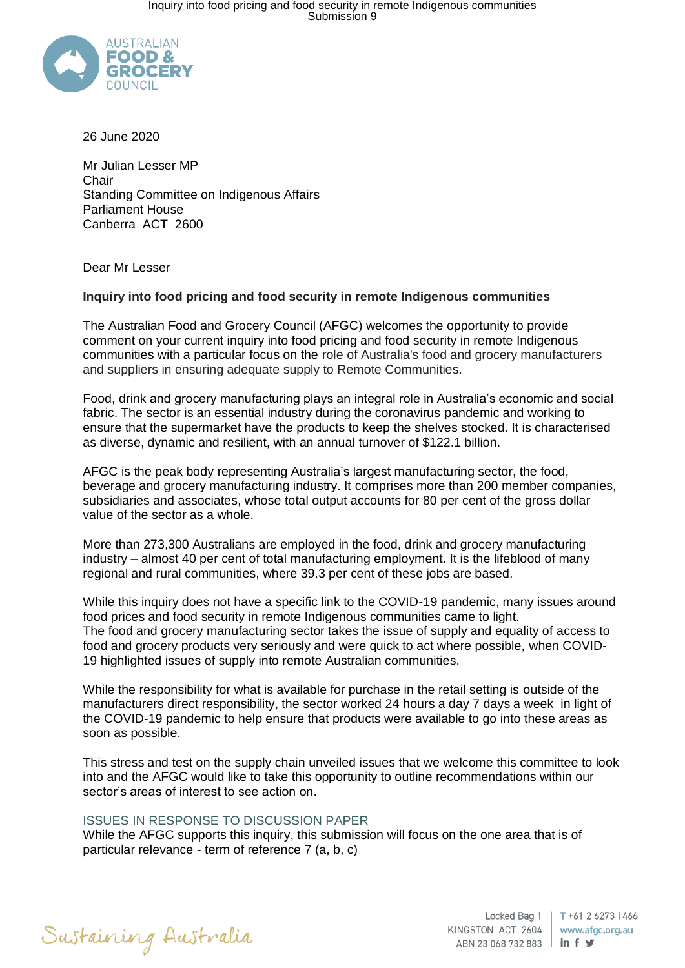

26 June 2020

Mr Julian Lesser MP **Chair** Standing Committee on Indigenous Affairs Parliament House Canberra ACT 2600

Dear Mr Lesser

## **Inquiry into food pricing and food security in remote Indigenous communities**

The Australian Food and Grocery Council (AFGC) welcomes the opportunity to provide comment on your current inquiry into food pricing and food security in remote Indigenous communities with a particular focus on the role of Australia's food and grocery manufacturers and suppliers in ensuring adequate supply to Remote Communities.

Food, drink and grocery manufacturing plays an integral role in Australia's economic and social fabric. The sector is an essential industry during the coronavirus pandemic and working to ensure that the supermarket have the products to keep the shelves stocked. It is characterised as diverse, dynamic and resilient, with an annual turnover of \$122.1 billion.

AFGC is the peak body representing Australia's largest manufacturing sector, the food, beverage and grocery manufacturing industry. It comprises more than 200 member companies, subsidiaries and associates, whose total output accounts for 80 per cent of the gross dollar value of the sector as a whole.

More than 273,300 Australians are employed in the food, drink and grocery manufacturing industry – almost 40 per cent of total manufacturing employment. It is the lifeblood of many regional and rural communities, where 39.3 per cent of these jobs are based.

While this inquiry does not have a specific link to the COVID-19 pandemic, many issues around food prices and food security in remote Indigenous communities came to light. The food and grocery manufacturing sector takes the issue of supply and equality of access to food and grocery products very seriously and were quick to act where possible, when COVID-19 highlighted issues of supply into remote Australian communities.

While the responsibility for what is available for purchase in the retail setting is outside of the manufacturers direct responsibility, the sector worked 24 hours a day 7 days a week in light of the COVID-19 pandemic to help ensure that products were available to go into these areas as soon as possible.

This stress and test on the supply chain unveiled issues that we welcome this committee to look into and the AFGC would like to take this opportunity to outline recommendations within our sector's areas of interest to see action on.

## ISSUES IN RESPONSE TO DISCUSSION PAPER

While the AFGC supports this inquiry, this submission will focus on the one area that is of particular relevance - term of reference 7 (a, b, c)



KINGSTON ACT 2604 ABN 23 068 732 883  $\parallel$  in f  $\blacktriangleright$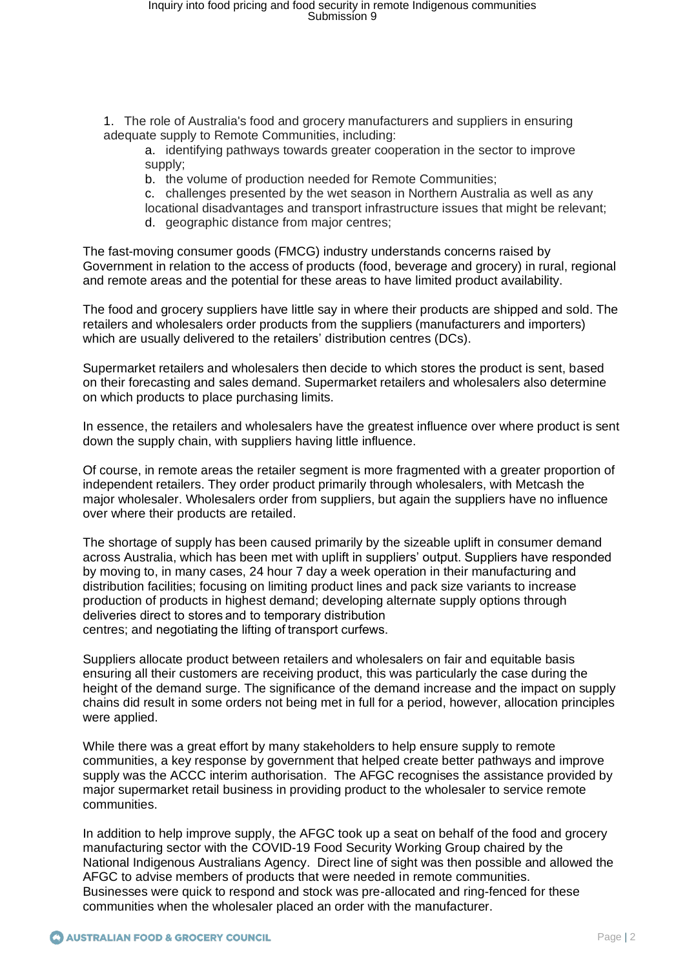1. The role of Australia's food and grocery manufacturers and suppliers in ensuring adequate supply to Remote Communities, including:

a. identifying pathways towards greater cooperation in the sector to improve supply;

b. the volume of production needed for Remote Communities;

c. challenges presented by the wet season in Northern Australia as well as any locational disadvantages and transport infrastructure issues that might be relevant;

d. geographic distance from major centres;

The fast-moving consumer goods (FMCG) industry understands concerns raised by Government in relation to the access of products (food, beverage and grocery) in rural, regional and remote areas and the potential for these areas to have limited product availability.

The food and grocery suppliers have little say in where their products are shipped and sold. The retailers and wholesalers order products from the suppliers (manufacturers and importers) which are usually delivered to the retailers' distribution centres (DCs).

Supermarket retailers and wholesalers then decide to which stores the product is sent, based on their forecasting and sales demand. Supermarket retailers and wholesalers also determine on which products to place purchasing limits.

In essence, the retailers and wholesalers have the greatest influence over where product is sent down the supply chain, with suppliers having little influence.

Of course, in remote areas the retailer segment is more fragmented with a greater proportion of independent retailers. They order product primarily through wholesalers, with Metcash the major wholesaler. Wholesalers order from suppliers, but again the suppliers have no influence over where their products are retailed.

The shortage of supply has been caused primarily by the sizeable uplift in consumer demand across Australia, which has been met with uplift in suppliers' output. Suppliers have responded by moving to, in many cases, 24 hour 7 day a week operation in their manufacturing and distribution facilities; focusing on limiting product lines and pack size variants to increase production of products in highest demand; developing alternate supply options through deliveries direct to stores and to temporary distribution centres; and negotiating the lifting of transport curfews.

Suppliers allocate product between retailers and wholesalers on fair and equitable basis ensuring all their customers are receiving product, this was particularly the case during the height of the demand surge. The significance of the demand increase and the impact on supply chains did result in some orders not being met in full for a period, however, allocation principles were applied.

While there was a great effort by many stakeholders to help ensure supply to remote communities, a key response by government that helped create better pathways and improve supply was the ACCC interim authorisation. The AFGC recognises the assistance provided by major supermarket retail business in providing product to the wholesaler to service remote communities.

In addition to help improve supply, the AFGC took up a seat on behalf of the food and grocery manufacturing sector with the COVID-19 Food Security Working Group chaired by the National Indigenous Australians Agency. Direct line of sight was then possible and allowed the AFGC to advise members of products that were needed in remote communities. Businesses were quick to respond and stock was pre-allocated and ring-fenced for these communities when the wholesaler placed an order with the manufacturer.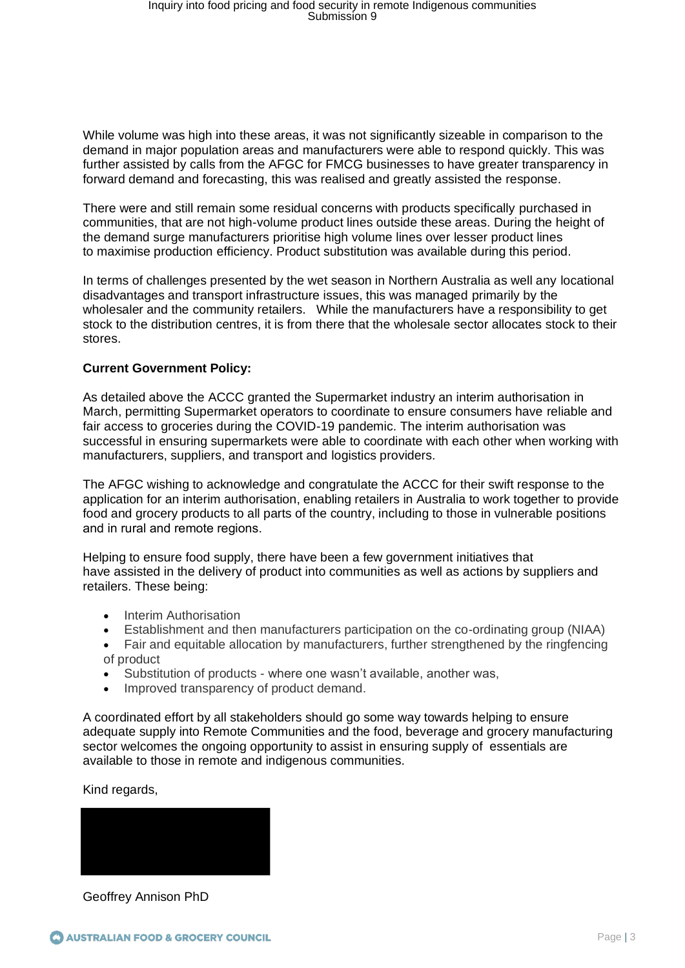While volume was high into these areas, it was not significantly sizeable in comparison to the demand in major population areas and manufacturers were able to respond quickly. This was further assisted by calls from the AFGC for FMCG businesses to have greater transparency in forward demand and forecasting, this was realised and greatly assisted the response.

There were and still remain some residual concerns with products specifically purchased in communities, that are not high-volume product lines outside these areas. During the height of the demand surge manufacturers prioritise high volume lines over lesser product lines to maximise production efficiency. Product substitution was available during this period.

In terms of challenges presented by the wet season in Northern Australia as well any locational disadvantages and transport infrastructure issues, this was managed primarily by the wholesaler and the community retailers. While the manufacturers have a responsibility to get stock to the distribution centres, it is from there that the wholesale sector allocates stock to their stores.

## **Current Government Policy:**

As detailed above the ACCC granted the Supermarket industry an interim authorisation in March, permitting Supermarket operators to coordinate to ensure consumers have reliable and fair access to groceries during the COVID-19 pandemic. The interim authorisation was successful in ensuring supermarkets were able to coordinate with each other when working with manufacturers, suppliers, and transport and logistics providers.

The AFGC wishing to acknowledge and congratulate the ACCC for their swift response to the application for an interim authorisation, enabling retailers in Australia to work together to provide food and grocery products to all parts of the country, including to those in vulnerable positions and in rural and remote regions. 

Helping to ensure food supply, there have been a few government initiatives that have assisted in the delivery of product into communities as well as actions by suppliers and retailers. These being:

- Interim Authorisation
- Establishment and then manufacturers participation on the co-ordinating group (NIAA)
- Fair and equitable allocation by manufacturers, further strengthened by the ringfencing of product
- Substitution of products where one wasn't available, another was,
- Improved transparency of product demand.

A coordinated effort by all stakeholders should go some way towards helping to ensure adequate supply into Remote Communities and the food, beverage and grocery manufacturing sector welcomes the ongoing opportunity to assist in ensuring supply of essentials are available to those in remote and indigenous communities.

Kind regards,

Geoffrey Annison PhD